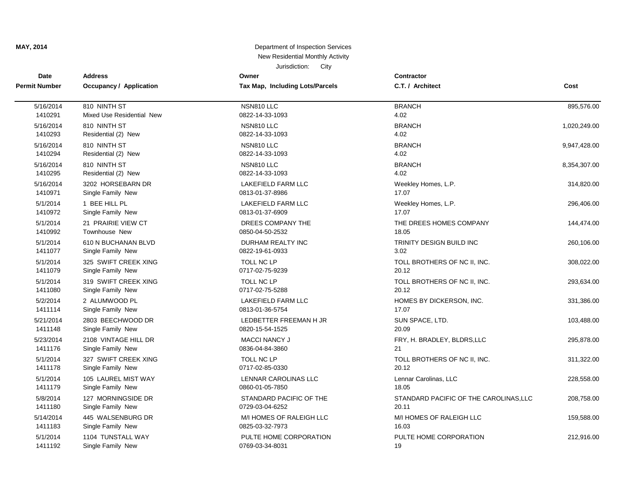| Date<br><b>Permit Number</b> | <b>Address</b><br><b>Occupancy / Application</b> | Owner                           | <b>Contractor</b><br>C.T. / Architect  | Cost         |
|------------------------------|--------------------------------------------------|---------------------------------|----------------------------------------|--------------|
|                              |                                                  | Tax Map, Including Lots/Parcels |                                        |              |
| 5/16/2014                    | 810 NINTH ST                                     | NSN810 LLC                      | <b>BRANCH</b>                          | 895,576.00   |
| 1410291                      | Mixed Use Residential New                        | 0822-14-33-1093                 | 4.02                                   |              |
| 5/16/2014                    | 810 NINTH ST                                     | NSN810 LLC                      | <b>BRANCH</b>                          | 1,020,249.00 |
| 1410293                      | Residential (2) New                              | 0822-14-33-1093                 | 4.02                                   |              |
| 5/16/2014                    | 810 NINTH ST                                     | NSN810 LLC                      | <b>BRANCH</b>                          | 9,947,428.00 |
| 1410294                      | Residential (2) New                              | 0822-14-33-1093                 | 4.02                                   |              |
| 5/16/2014                    | 810 NINTH ST                                     | NSN810 LLC                      | <b>BRANCH</b>                          | 8,354,307.00 |
| 1410295                      | Residential (2) New                              | 0822-14-33-1093                 | 4.02                                   |              |
| 5/16/2014                    | 3202 HORSEBARN DR                                | LAKEFIELD FARM LLC              | Weekley Homes, L.P.                    | 314,820.00   |
| 1410971                      | Single Family New                                | 0813-01-37-8986                 | 17.07                                  |              |
| 5/1/2014                     | 1 BEE HILL PL                                    | <b>LAKEFIELD FARM LLC</b>       | Weekley Homes, L.P.                    | 296,406.00   |
| 1410972                      | Single Family New                                | 0813-01-37-6909                 | 17.07                                  |              |
| 5/1/2014                     | 21 PRAIRIE VIEW CT                               | DREES COMPANY THE               | THE DREES HOMES COMPANY                | 144,474.00   |
| 1410992                      | Townhouse New                                    | 0850-04-50-2532                 | 18.05                                  |              |
| 5/1/2014                     | 610 N BUCHANAN BLVD                              | DURHAM REALTY INC               | TRINITY DESIGN BUILD INC               | 260,106.00   |
| 1411077                      | Single Family New                                | 0822-19-61-0933                 | 3.02                                   |              |
| 5/1/2014                     | 325 SWIFT CREEK XING                             | <b>TOLL NC LP</b>               | TOLL BROTHERS OF NC II, INC.           | 308,022.00   |
| 1411079                      | Single Family New                                | 0717-02-75-9239                 | 20.12                                  |              |
| 5/1/2014                     | 319 SWIFT CREEK XING                             | <b>TOLL NC LP</b>               | TOLL BROTHERS OF NC II, INC.           | 293,634.00   |
| 1411080                      | Single Family New                                | 0717-02-75-5288                 | 20.12                                  |              |
| 5/2/2014                     | 2 ALUMWOOD PL                                    | LAKEFIELD FARM LLC              | HOMES BY DICKERSON, INC.               | 331,386.00   |
| 1411114                      | Single Family New                                | 0813-01-36-5754                 | 17.07                                  |              |
| 5/21/2014                    | 2803 BEECHWOOD DR                                | LEDBETTER FREEMAN H JR          | SUN SPACE, LTD.                        | 103,488.00   |
| 1411148                      | Single Family New                                | 0820-15-54-1525                 | 20.09                                  |              |
| 5/23/2014                    | 2108 VINTAGE HILL DR                             | <b>MACCI NANCY J</b>            | FRY, H. BRADLEY, BLDRS, LLC            | 295,878.00   |
| 1411176                      | Single Family New                                | 0836-04-84-3860                 | 21                                     |              |
| 5/1/2014                     | 327 SWIFT CREEK XING                             | TOLL NC LP                      | TOLL BROTHERS OF NC II, INC.           | 311,322.00   |
| 1411178                      | Single Family New                                | 0717-02-85-0330                 | 20.12                                  |              |
| 5/1/2014                     | 105 LAUREL MIST WAY                              | LENNAR CAROLINAS LLC            | Lennar Carolinas, LLC                  | 228,558.00   |
| 1411179                      | Single Family New                                | 0860-01-05-7850                 | 18.05                                  |              |
| 5/8/2014                     | 127 MORNINGSIDE DR                               | STANDARD PACIFIC OF THE         | STANDARD PACIFIC OF THE CAROLINAS, LLC | 208,758.00   |
| 1411180                      | Single Family New                                | 0729-03-04-6252                 | 20.11                                  |              |
| 5/14/2014                    | 445 WALSENBURG DR                                | M/I HOMES OF RALEIGH LLC        | M/I HOMES OF RALEIGH LLC               | 159,588.00   |
| 1411183                      | Single Family New                                | 0825-03-32-7973                 | 16.03                                  |              |
| 5/1/2014                     | 1104 TUNSTALL WAY                                | PULTE HOME CORPORATION          | PULTE HOME CORPORATION                 | 212,916.00   |
| 1411192                      | Single Family New                                | 0769-03-34-8031                 | 19                                     |              |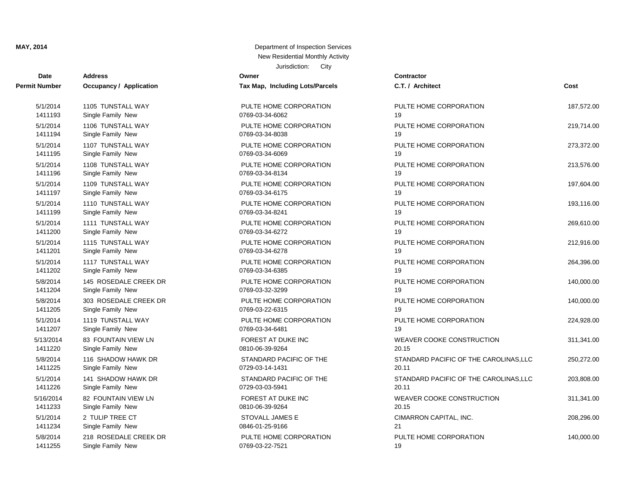## **Date Contractor Address Owner Permit Number Occupancy / Application Tax Map, Including Lots/Parcels** 5/1/2014 1105 TUNSTALL WAY PULTE HOME CORPORATION 5/1/2014 1106 TUNSTALL WAY PULTE HOME CORPORATION 5/1/2014 1107 TUNSTALL WAY PULTE HOME CORPORATION 1411193 Single Family New 0769-03-34-6062 5/1/2014 1108 TUNSTALL WAY PULTE HOME CORPORATION 1411194 Single Family New 2016 12:00 0769-03-34-8038 5/1/2014 1109 TUNSTALL WAY PULTE HOME CORPORATION 1411195 Single Family New 0769-03-34-6069 5/1/2014 1110 TUNSTALL WAY PULTE HOME CORPORATION 1411196 Single Family New 2012 12:00 0769-03-34-8134 5/1/2014 1111 TUNSTALL WAY PULTE HOME CORPORATION 1411197 Single Family New 2012 19:30 0769-03-34-6175 5/1/2014 1115 TUNSTALL WAY PULTE HOME CORPORATION 1411199 Single Family New 2012 12:00 0769-03-34-8241 5/1/2014 1117 TUNSTALL WAY PULTE HOME CORPORATION 1411200 Single Family New 2012 12:00 0769-03-34-6272 5/8/2014 145 ROSEDALE CREEK DR PULTE HOME CORPORATION 1411201 Single Family New 2012 12:00 0769-03-34-6278 5/8/2014 303 ROSEDALE CREEK DR PULTE HOME CORPORATION 1411202 Single Family New 2012 19:30 0769-03-34-6385 5/1/2014 1119 TUNSTALL WAY PULTE HOME CORPORATION 1411204 Single Family New 2012 12:00 0769-03-32-3299 5/13/2014 83 FOUNTAIN VIEW LN FOREST AT DUKE INC 1411205 Single Family New 2012 12:00 0769-03-22-6315 5/8/2014 116 SHADOW HAWK DR STANDARD PACIFIC OF THE 1411207 Single Family New 2012 12:00 0769-03-34-6481 5/1/2014 141 SHADOW HAWK DR STANDARD PACIFIC OF THE 1411220 Single Family New 2010 2010 2010-06-39-9264 5/16/2014 82 FOUNTAIN VIEW LN FOREST AT DUKE INC WEAVER COOKE CONSTRUCTION 311,341.00 1411225 Single Family New 2012 0729-03-14-1431 1411226 Single Family New 2012 2021 2021 2021 2021 2021 2022 203-03-03-5941 5/8/2014 218 ROSEDALE CREEK DR PULTE HOME CORPORATION 1411233 Single Family New 2010 2010 2010-06-39-9264 1411234 Single Family New 2012 2021 2021 2021 2021 2021 20346-01-25-9166

1411255 Single Family New 0769-03-22-7521

| <b>Date</b>   | <b>Address</b>          | Owner                           | <b>Contractor</b>                      |            |
|---------------|-------------------------|---------------------------------|----------------------------------------|------------|
| <b>Number</b> | Occupancy / Application | Tax Map, Including Lots/Parcels | C.T. / Architect                       | Cost       |
| 5/1/2014      | 1105 TUNSTALL WAY       | PULTE HOME CORPORATION          | PULTE HOME CORPORATION                 | 187,572.00 |
| 1411193       | Single Family New       | 0769-03-34-6062                 | 19                                     |            |
| 5/1/2014      | 1106 TUNSTALL WAY       | PULTE HOME CORPORATION          | PULTE HOME CORPORATION                 | 219,714.00 |
| 1411194       | Single Family New       | 0769-03-34-8038                 | 19                                     |            |
| 5/1/2014      | 1107 TUNSTALL WAY       | PULTE HOME CORPORATION          | PULTE HOME CORPORATION                 | 273,372.00 |
| 1411195       | Single Family New       | 0769-03-34-6069                 | 19                                     |            |
| 5/1/2014      | 1108 TUNSTALL WAY       | PULTE HOME CORPORATION          | PULTE HOME CORPORATION                 | 213,576.00 |
| 1411196       | Single Family New       | 0769-03-34-8134                 | 19                                     |            |
| 5/1/2014      | 1109 TUNSTALL WAY       | PULTE HOME CORPORATION          | PULTE HOME CORPORATION                 | 197,604.00 |
| 1411197       | Single Family New       | 0769-03-34-6175                 | 19                                     |            |
| 5/1/2014      | 1110 TUNSTALL WAY       | PULTE HOME CORPORATION          | PULTE HOME CORPORATION                 | 193,116.00 |
| 1411199       | Single Family New       | 0769-03-34-8241                 | 19                                     |            |
| 5/1/2014      | 1111 TUNSTALL WAY       | PULTE HOME CORPORATION          | PULTE HOME CORPORATION                 | 269,610.00 |
| 1411200       | Single Family New       | 0769-03-34-6272                 | 19                                     |            |
| 5/1/2014      | 1115 TUNSTALL WAY       | PULTE HOME CORPORATION          | PULTE HOME CORPORATION                 | 212,916.00 |
| 1411201       | Single Family New       | 0769-03-34-6278                 | 19                                     |            |
| 5/1/2014      | 1117 TUNSTALL WAY       | PULTE HOME CORPORATION          | PULTE HOME CORPORATION                 | 264,396.00 |
| 1411202       | Single Family New       | 0769-03-34-6385                 | 19                                     |            |
| 5/8/2014      | 145 ROSEDALE CREEK DR   | PULTE HOME CORPORATION          | PULTE HOME CORPORATION                 | 140,000.00 |
| 1411204       | Single Family New       | 0769-03-32-3299                 | 19                                     |            |
| 5/8/2014      | 303 ROSEDALE CREEK DR   | PULTE HOME CORPORATION          | PULTE HOME CORPORATION                 | 140,000.00 |
| 1411205       | Single Family New       | 0769-03-22-6315                 | 19                                     |            |
| 5/1/2014      | 1119 TUNSTALL WAY       | PULTE HOME CORPORATION          | PULTE HOME CORPORATION                 | 224,928.00 |
| 1411207       | Single Family New       | 0769-03-34-6481                 | 19                                     |            |
| 5/13/2014     | 83 FOUNTAIN VIEW LN     | FOREST AT DUKE INC              | WEAVER COOKE CONSTRUCTION              | 311,341.00 |
| 1411220       | Single Family New       | 0810-06-39-9264                 | 20.15                                  |            |
| 5/8/2014      | 116 SHADOW HAWK DR      | STANDARD PACIFIC OF THE         | STANDARD PACIFIC OF THE CAROLINAS, LLC | 250,272.00 |
| 1411225       | Single Family New       | 0729-03-14-1431                 | 20.11                                  |            |
| 5/1/2014      | 141 SHADOW HAWK DR      | STANDARD PACIFIC OF THE         | STANDARD PACIFIC OF THE CAROLINAS, LLC | 203,808.00 |
| 1411226       | Single Family New       | 0729-03-03-5941                 | 20.11                                  |            |
| 5/16/2014     | 82 FOUNTAIN VIEW LN     | FOREST AT DUKE INC              | WEAVER COOKE CONSTRUCTION              | 311,341.00 |
| 1411233       | Single Family New       | 0810-06-39-9264                 | 20.15                                  |            |
| 5/1/2014      | 2 TULIP TREE CT         | STOVALL JAMES E                 | CIMARRON CAPITAL, INC.                 | 208,296.00 |
| 1411234       | Single Family New       | 0846-01-25-9166                 | 21                                     |            |
| 5/8/2014      | 218 ROSEDALE CREEK DR   | PULTE HOME CORPORATION          | PULTE HOME CORPORATION                 | 140,000.00 |
| 1411255       | Single Family New       | 0769-03-22-7521                 | 19                                     |            |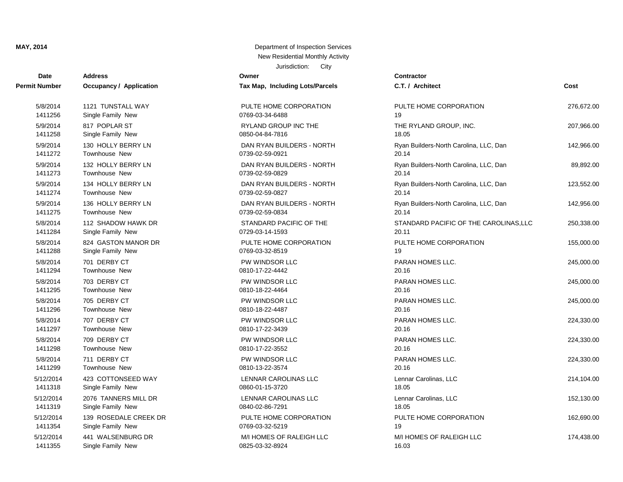## **Date Contractor Address Owner Permit Number Occupancy / Application Tax Map, Including Lots/Parcels** 5/8/2014 1121 TUNSTALL WAY PULTE HOME CORPORATION 5/9/2014 817 POPLAR ST RYLAND GROUP INC THE 5/9/2014 130 HOLLY BERRY LN DAN RYAN BUILDERS - NORTH 1411256 Single Family New 0769-03-34-6488 5/9/2014 132 HOLLY BERRY LN DAN RYAN BUILDERS - NORTH 1411258 Single Family New 2008 1208 0850-04-84-7816 5/9/2014 134 HOLLY BERRY LN DAN RYAN BUILDERS - NORTH 1411272 Townhouse New 2012 12:00 0739-02-59-0921 5/9/2014 136 HOLLY BERRY LN DAN RYAN BUILDERS - NORTH 1411273 Townhouse New 0739-02-59-0829 20.14 5/8/2014 112 SHADOW HAWK DR STANDARD PACIFIC OF THE 1411274 Townhouse New 2012 10:00 0739-02-59-0827 5/8/2014 824 GASTON MANOR DR PULTE HOME CORPORATION 1411275 Townhouse New 2008/2010 12:39:02-59-0834 1411284 Single Family New 2012 2014 12:30 0729-03-14-1593 1411288 Single Family New 2012 12:00 0769-03-32-8519 1411294 Townhouse New 2010 12:00 0810-17-22-4442 1411295 Townhouse New 2010-18-22-4464 1411296 Townhouse New 2010 18:00:00 0810-18-22-4487 1411297 Townhouse New 2010-17-22-3439 20.16-17-22-3439 5/12/2014 423 COTTONSEED WAY LENNAR CAROLINAS LLC 1411298 Townhouse New 2010-17-22-3552 5/12/2014 2076 TANNERS MILL DR LENNAR CAROLINAS LLC 1411299 Townhouse New 0810-13-22-3574 20.16 5/12/2014 139 ROSEDALE CREEK DR PULTE HOME CORPORATION 1411318 Single Family New 2012 12:05:06 0860-01-15-3720 5/12/2014 441 WALSENBURG DR M/I HOMES OF RALEIGH LLC 1411319 Single Family New 0840-02-86-7291 1411354 Single Family New 2012 12:00 0769-03-32-5219 1411355 Single Family New 1411355 Single Family New 16.03.32-8924

| Date          | Auuress                 | ownei                           | contractor                             |            |
|---------------|-------------------------|---------------------------------|----------------------------------------|------------|
| <b>Number</b> | Occupancy / Application | Tax Map, Including Lots/Parcels | C.T. / Architect                       | Cost       |
| 5/8/2014      | 1121 TUNSTALL WAY       | PULTE HOME CORPORATION          | PULTE HOME CORPORATION                 | 276,672.00 |
| 1411256       | Single Family New       | 0769-03-34-6488                 | 19                                     |            |
| 5/9/2014      | 817 POPLAR ST           | RYLAND GROUP INC THE            | THE RYLAND GROUP, INC.                 | 207,966.00 |
| 1411258       | Single Family New       | 0850-04-84-7816                 | 18.05                                  |            |
| 5/9/2014      | 130 HOLLY BERRY LN      | DAN RYAN BUILDERS - NORTH       | Ryan Builders-North Carolina, LLC, Dan | 142,966.00 |
| 1411272       | Townhouse New           | 0739-02-59-0921                 | 20.14                                  |            |
| 5/9/2014      | 132 HOLLY BERRY LN      | DAN RYAN BUILDERS - NORTH       | Ryan Builders-North Carolina, LLC, Dan | 89,892.00  |
| 1411273       | Townhouse New           | 0739-02-59-0829                 | 20.14                                  |            |
| 5/9/2014      | 134 HOLLY BERRY LN      | DAN RYAN BUILDERS - NORTH       | Ryan Builders-North Carolina, LLC, Dan | 123,552.00 |
| 1411274       | Townhouse New           | 0739-02-59-0827                 | 20.14                                  |            |
| 5/9/2014      | 136 HOLLY BERRY LN      | DAN RYAN BUILDERS - NORTH       | Ryan Builders-North Carolina, LLC, Dan | 142,956.00 |
| 1411275       | Townhouse New           | 0739-02-59-0834                 | 20.14                                  |            |
| 5/8/2014      | 112 SHADOW HAWK DR      | STANDARD PACIFIC OF THE         | STANDARD PACIFIC OF THE CAROLINAS, LLC | 250,338.00 |
| 1411284       | Single Family New       | 0729-03-14-1593                 | 20.11                                  |            |
| 5/8/2014      | 824 GASTON MANOR DR     | PULTE HOME CORPORATION          | PULTE HOME CORPORATION                 | 155,000.00 |
| 1411288       | Single Family New       | 0769-03-32-8519                 | 19                                     |            |
| 5/8/2014      | 701 DERBY CT            | PW WINDSOR LLC                  | <b>PARAN HOMES LLC.</b>                | 245,000.00 |
| 1411294       | Townhouse New           | 0810-17-22-4442                 | 20.16                                  |            |
| 5/8/2014      | 703 DERBY CT            | PW WINDSOR LLC                  | PARAN HOMES LLC.                       | 245,000.00 |
| 1411295       | Townhouse New           | 0810-18-22-4464                 | 20.16                                  |            |
| 5/8/2014      | 705 DERBY CT            | PW WINDSOR LLC                  | PARAN HOMES LLC.                       | 245,000.00 |
| 1411296       | Townhouse New           | 0810-18-22-4487                 | 20.16                                  |            |
| 5/8/2014      | 707 DERBY CT            | PW WINDSOR LLC                  | PARAN HOMES LLC.                       | 224,330.00 |
| 1411297       | Townhouse New           | 0810-17-22-3439                 | 20.16                                  |            |
| 5/8/2014      | 709 DERBY CT            | PW WINDSOR LLC                  | PARAN HOMES LLC.                       | 224,330.00 |
| 1411298       | <b>Townhouse New</b>    | 0810-17-22-3552                 | 20.16                                  |            |
| 5/8/2014      | 711 DERBY CT            | PW WINDSOR LLC                  | PARAN HOMES LLC.                       | 224,330.00 |
| 1411299       | Townhouse New           | 0810-13-22-3574                 | 20.16                                  |            |
| 5/12/2014     | 423 COTTONSEED WAY      | LENNAR CAROLINAS LLC            | Lennar Carolinas, LLC                  | 214,104.00 |
| 1411318       | Single Family New       | 0860-01-15-3720                 | 18.05                                  |            |
| 5/12/2014     | 2076 TANNERS MILL DR    | LENNAR CAROLINAS LLC            | Lennar Carolinas, LLC                  | 152,130.00 |
| 1411319       | Single Family New       | 0840-02-86-7291                 | 18.05                                  |            |
| 5/12/2014     | 139 ROSEDALE CREEK DR   | PULTE HOME CORPORATION          | PULTE HOME CORPORATION                 | 162,690.00 |
| 1411354       | Single Family New       | 0769-03-32-5219                 | 19                                     |            |
| 5/12/2014     | 441 WALSENBURG DR       | M/I HOMES OF RALEIGH LLC        | M/I HOMES OF RALEIGH LLC               | 174,438.00 |
| 1411355       | Single Family New       | 0825-03-32-8924                 | 16.03                                  |            |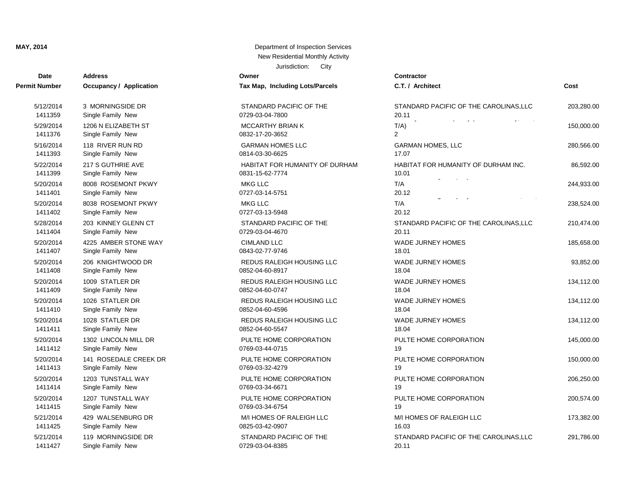## **Date Contractor Address Owner Permit Number Occupancy / Application Tax Map, Including Lots/Parcels** 5/12/2014 3 MORNINGSIDE DR STANDARD PACIFIC OF THE 5/29/2014 1206 N ELIZABETH ST MCCARTHY BRIAN K 1411359 Single Family New 2012 2020 2029-03-04-7800 5/22/2014 217 S GUTHRIE AVE **HABITAT FOR HUMANITY OF DURHAM** 1411376 Single Family New 0832-17-20-3652 2 5/20/2014 8008 ROSEMONT PKWY MKG LLC 1411393 Single Family New 0814-03-30-6625 5/20/2014 8038 ROSEMONT PKWY MKG LLC 1411399 Single Family New 0831-15-62-7774 5/28/2014 203 KINNEY GLENN CT STANDARD PACIFIC OF THE 1411401 Single Family New 20727-03-14-5751 5/20/2014 4225 AMBER STONE WAY CIMLAND LLC 1411402 Single Family New 2001 2012 2027-03-13-5948 5/20/2014 206 KNIGHTWOOD DR REDUS RALEIGH HOUSING LLC 1411404 Single Family New 20729-03-04-4670 5/20/2014 1009 STATLER DR **REDUS RALEIGH HOUSING LLC** 1411407 Single Family New 2014 12:00 0843-02-77-9746 5/20/2014 1026 STATLER DR **REDUS RALEIGH HOUSING LLC** 1411408 Single Family New 0852-04-60-8917 5/20/2014 1028 STATLER DR REDUS RALEIGH HOUSING LLC 1411409 Single Family New 2008 1208 0852-04-60-0747 5/20/2014 1302 LINCOLN MILL DR PULTE HOME CORPORATION 1411410 Single Family New 0852-04-60-4596 5/20/2014 141 ROSEDALE CREEK DR PULTE HOME CORPORATION 1411411 Single Family New 2008 12:05:04 0852-04-60-5547 5/20/2014 1203 TUNSTALL WAY PULTE HOME CORPORATION 1411412 Single Family New 2016 12:00 0769-03-44-0715 5/20/2014 1207 TUNSTALL WAY PULTE HOME CORPORATION 1411413 Single Family New 0769-03-32-4279 5/21/2014 429 WALSENBURG DR M/I HOMES OF RALEIGH LLC 1411414 Single Family New 2012 12:00 0769-03-34-6671 5/21/2014 119 MORNINGSIDE DR STANDARD PACIFIC OF THE 1411415 Single Family New 2012 12:00 0769-03-34-6754 1411425 Single Family New 0825-03-42-0907

| Date                 | <b>Address</b>                          | Owner                             | Contractor                             |            |
|----------------------|-----------------------------------------|-----------------------------------|----------------------------------------|------------|
| t Number             | <b>Occupancy / Application</b>          | Tax Map, Including Lots/Parcels   | C.T. / Architect                       | Cost       |
| 5/12/2014            | 3 MORNINGSIDE DR                        | STANDARD PACIFIC OF THE           | STANDARD PACIFIC OF THE CAROLINAS, LLC | 203,280.00 |
| 1411359              | Single Family New                       | 0729-03-04-7800                   | 20.11                                  |            |
| 5/29/2014            | 1206 N ELIZABETH ST                     | <b>MCCARTHY BRIAN K</b>           | $T/A$ )                                | 150,000.00 |
| 1411376              | Single Family New                       | 0832-17-20-3652                   | $\overline{2}$                         |            |
| 5/16/2014            | 118 RIVER RUN RD                        | <b>GARMAN HOMES LLC</b>           | <b>GARMAN HOMES, LLC</b>               | 280,566.00 |
| 1411393              | Single Family New                       | 0814-03-30-6625                   | 17.07                                  |            |
| 5/22/2014            | 217 S GUTHRIE AVE                       | HABITAT FOR HUMANITY OF DURHAM    | HABITAT FOR HUMANITY OF DURHAM INC.    | 86,592.00  |
| 1411399              | Single Family New                       | 0831-15-62-7774                   | 10.01                                  |            |
| 5/20/2014<br>1411401 | 8008 ROSEMONT PKWY<br>Single Family New | <b>MKG LLC</b><br>0727-03-14-5751 | $\alpha$ and $\alpha$<br>T/A<br>20.12  | 244,933.00 |
| 5/20/2014<br>1411402 | 8038 ROSEMONT PKWY<br>Single Family New | <b>MKG LLC</b><br>0727-03-13-5948 | $\alpha$ and $\alpha$<br>T/A<br>20.12  | 238,524.00 |
| 5/28/2014            | 203 KINNEY GLENN CT                     | STANDARD PACIFIC OF THE           | STANDARD PACIFIC OF THE CAROLINAS, LLC | 210,474.00 |
| 1411404              | Single Family New                       | 0729-03-04-4670                   | 20.11                                  |            |
| 5/20/2014            | 4225 AMBER STONE WAY                    | <b>CIMLAND LLC</b>                | <b>WADE JURNEY HOMES</b>               | 185,658.00 |
| 1411407              | Single Family New                       | 0843-02-77-9746                   | 18.01                                  |            |
| 5/20/2014            | 206 KNIGHTWOOD DR                       | REDUS RALEIGH HOUSING LLC         | <b>WADE JURNEY HOMES</b>               | 93,852.00  |
| 1411408              | Single Family New                       | 0852-04-60-8917                   | 18.04                                  |            |
| 5/20/2014            | 1009 STATLER DR                         | REDUS RALEIGH HOUSING LLC         | <b>WADE JURNEY HOMES</b>               | 134,112.00 |
| 1411409              | Single Family New                       | 0852-04-60-0747                   | 18.04                                  |            |
| 5/20/2014            | 1026 STATLER DR                         | REDUS RALEIGH HOUSING LLC         | <b>WADE JURNEY HOMES</b>               | 134,112.00 |
| 1411410              | Single Family New                       | 0852-04-60-4596                   | 18.04                                  |            |
| 5/20/2014            | 1028 STATLER DR                         | REDUS RALEIGH HOUSING LLC         | <b>WADE JURNEY HOMES</b>               | 134,112.00 |
| 1411411              | Single Family New                       | 0852-04-60-5547                   | 18.04                                  |            |
| 5/20/2014            | 1302 LINCOLN MILL DR                    | PULTE HOME CORPORATION            | PULTE HOME CORPORATION                 | 145,000.00 |
| 1411412              | Single Family New                       | 0769-03-44-0715                   | 19                                     |            |
| 5/20/2014            | 141 ROSEDALE CREEK DR                   | PULTE HOME CORPORATION            | PULTE HOME CORPORATION                 | 150,000.00 |
| 1411413              | Single Family New                       | 0769-03-32-4279                   | 19                                     |            |
| 5/20/2014            | 1203 TUNSTALL WAY                       | PULTE HOME CORPORATION            | PULTE HOME CORPORATION                 | 206,250.00 |
| 1411414              | Single Family New                       | 0769-03-34-6671                   | 19                                     |            |
| 5/20/2014            | 1207 TUNSTALL WAY                       | PULTE HOME CORPORATION            | PULTE HOME CORPORATION                 | 200,574.00 |
| 1411415              | Single Family New                       | 0769-03-34-6754                   | 19                                     |            |
| 5/21/2014            | 429 WALSENBURG DR                       | M/I HOMES OF RALEIGH LLC          | M/I HOMES OF RALEIGH LLC               | 173,382.00 |
| 1411425              | Single Family New                       | 0825-03-42-0907                   | 16.03                                  |            |
| 5/21/2014            | 119 MORNINGSIDE DR                      | STANDARD PACIFIC OF THE           | STANDARD PACIFIC OF THE CAROLINAS, LLC | 291,786.00 |
| 1411427              | Single Family New                       | 0729-03-04-8385                   | 20.11                                  |            |